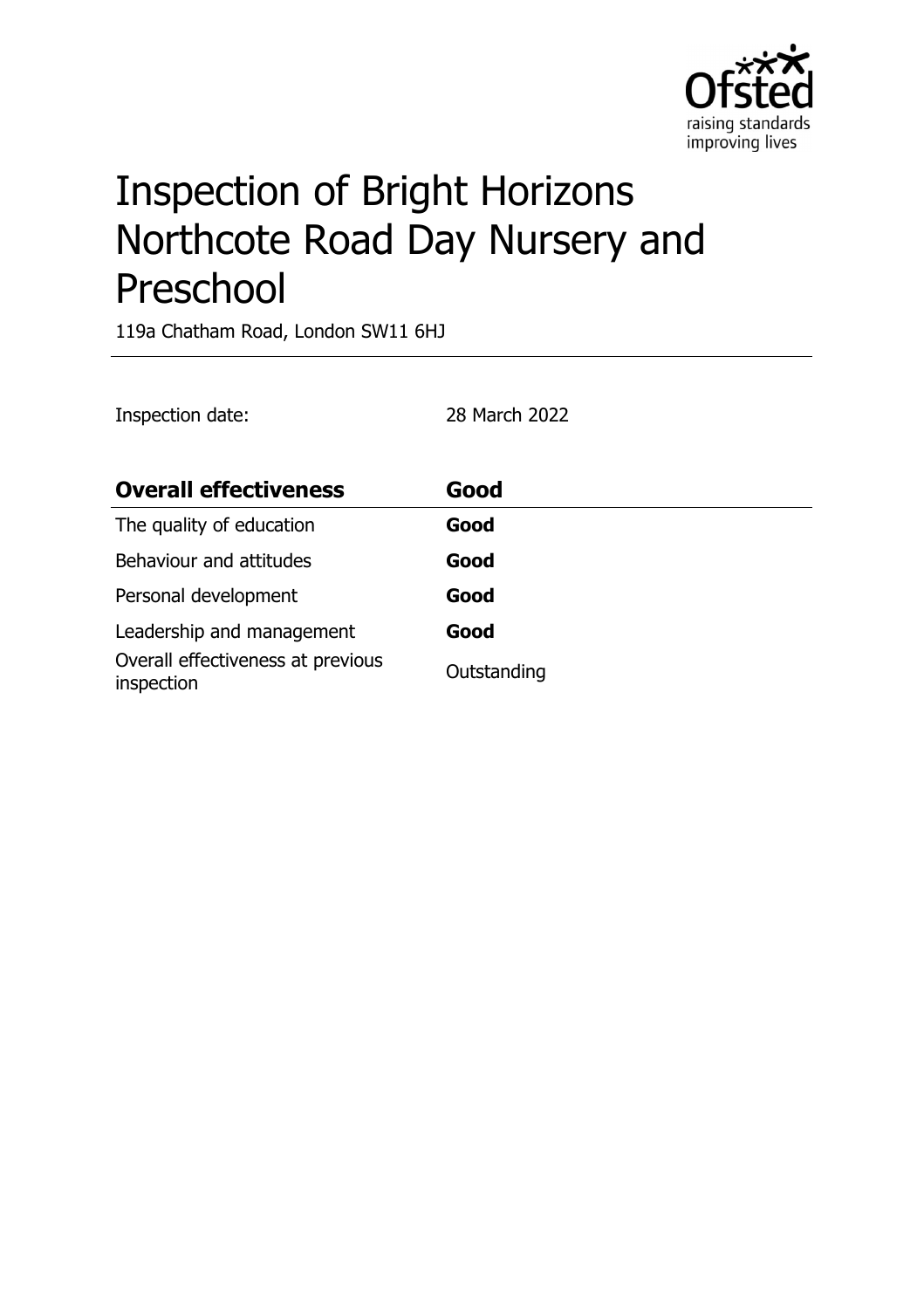

# Inspection of Bright Horizons Northcote Road Day Nursery and Preschool

119a Chatham Road, London SW11 6HJ

| Inspection date:                                | 28 March 2022 |
|-------------------------------------------------|---------------|
| <b>Overall effectiveness</b>                    | Good          |
| The quality of education                        | Good          |
| Behaviour and attitudes                         | Good          |
| Personal development                            | Good          |
| Leadership and management                       | Good          |
| Overall effectiveness at previous<br>inspection | Outstanding   |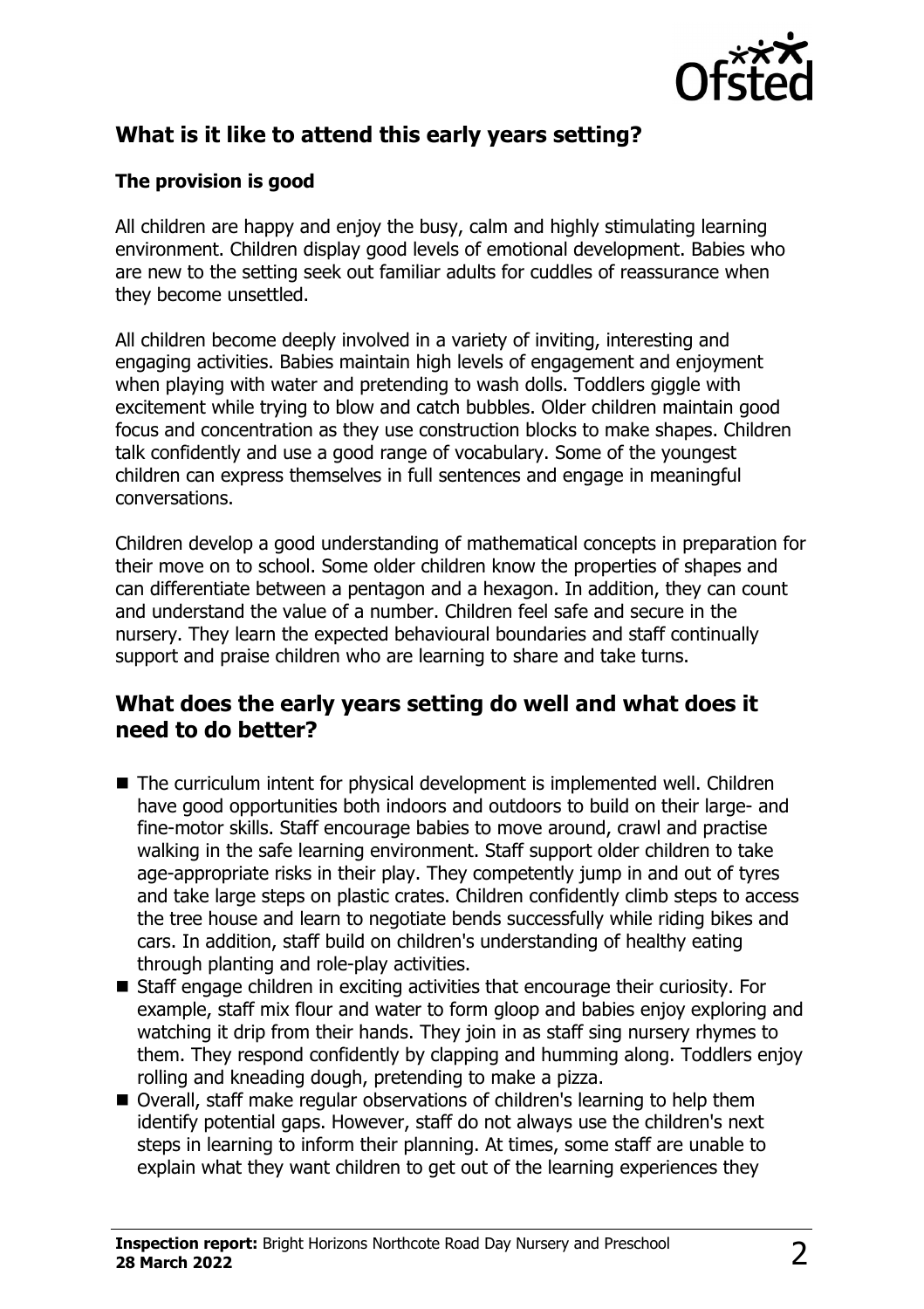

# **What is it like to attend this early years setting?**

#### **The provision is good**

All children are happy and enjoy the busy, calm and highly stimulating learning environment. Children display good levels of emotional development. Babies who are new to the setting seek out familiar adults for cuddles of reassurance when they become unsettled.

All children become deeply involved in a variety of inviting, interesting and engaging activities. Babies maintain high levels of engagement and enjoyment when playing with water and pretending to wash dolls. Toddlers giggle with excitement while trying to blow and catch bubbles. Older children maintain good focus and concentration as they use construction blocks to make shapes. Children talk confidently and use a good range of vocabulary. Some of the youngest children can express themselves in full sentences and engage in meaningful conversations.

Children develop a good understanding of mathematical concepts in preparation for their move on to school. Some older children know the properties of shapes and can differentiate between a pentagon and a hexagon. In addition, they can count and understand the value of a number. Children feel safe and secure in the nursery. They learn the expected behavioural boundaries and staff continually support and praise children who are learning to share and take turns.

#### **What does the early years setting do well and what does it need to do better?**

- $\blacksquare$  The curriculum intent for physical development is implemented well. Children have good opportunities both indoors and outdoors to build on their large- and fine-motor skills. Staff encourage babies to move around, crawl and practise walking in the safe learning environment. Staff support older children to take age-appropriate risks in their play. They competently jump in and out of tyres and take large steps on plastic crates. Children confidently climb steps to access the tree house and learn to negotiate bends successfully while riding bikes and cars. In addition, staff build on children's understanding of healthy eating through planting and role-play activities.
- $\blacksquare$  Staff engage children in exciting activities that encourage their curiosity. For example, staff mix flour and water to form gloop and babies enjoy exploring and watching it drip from their hands. They join in as staff sing nursery rhymes to them. They respond confidently by clapping and humming along. Toddlers enjoy rolling and kneading dough, pretending to make a pizza.
- Overall, staff make regular observations of children's learning to help them identify potential gaps. However, staff do not always use the children's next steps in learning to inform their planning. At times, some staff are unable to explain what they want children to get out of the learning experiences they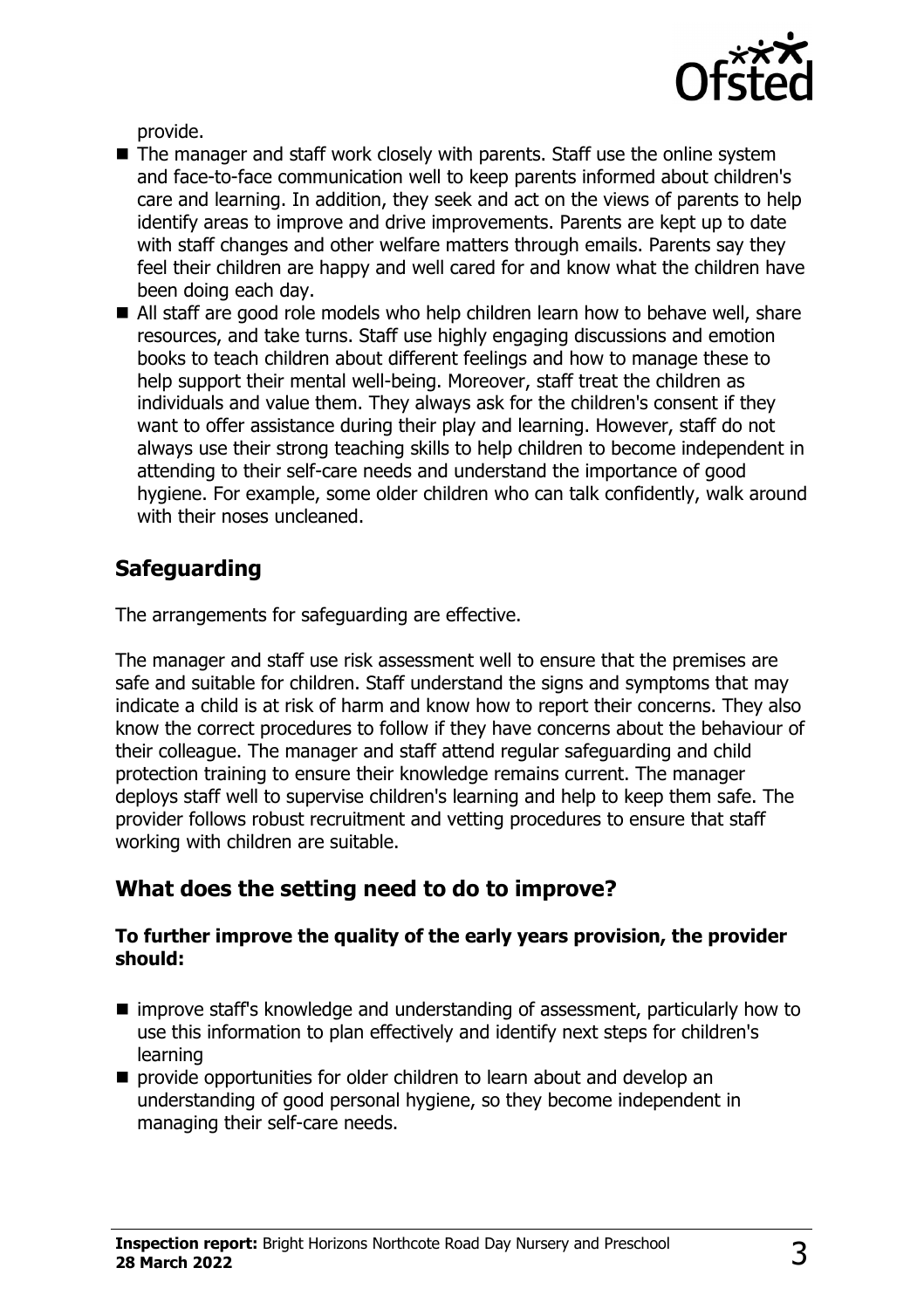

provide.

- $\blacksquare$  The manager and staff work closely with parents. Staff use the online system and face-to-face communication well to keep parents informed about children's care and learning. In addition, they seek and act on the views of parents to help identify areas to improve and drive improvements. Parents are kept up to date with staff changes and other welfare matters through emails. Parents say they feel their children are happy and well cared for and know what the children have been doing each day.
- All staff are good role models who help children learn how to behave well, share resources, and take turns. Staff use highly engaging discussions and emotion books to teach children about different feelings and how to manage these to help support their mental well-being. Moreover, staff treat the children as individuals and value them. They always ask for the children's consent if they want to offer assistance during their play and learning. However, staff do not always use their strong teaching skills to help children to become independent in attending to their self-care needs and understand the importance of good hygiene. For example, some older children who can talk confidently, walk around with their noses uncleaned.

## **Safeguarding**

The arrangements for safeguarding are effective.

The manager and staff use risk assessment well to ensure that the premises are safe and suitable for children. Staff understand the signs and symptoms that may indicate a child is at risk of harm and know how to report their concerns. They also know the correct procedures to follow if they have concerns about the behaviour of their colleague. The manager and staff attend regular safeguarding and child protection training to ensure their knowledge remains current. The manager deploys staff well to supervise children's learning and help to keep them safe. The provider follows robust recruitment and vetting procedures to ensure that staff working with children are suitable.

#### **What does the setting need to do to improve?**

#### **To further improve the quality of the early years provision, the provider should:**

- $\blacksquare$  improve staff's knowledge and understanding of assessment, particularly how to use this information to plan effectively and identify next steps for children's learning
- $\blacksquare$  provide opportunities for older children to learn about and develop an understanding of good personal hygiene, so they become independent in managing their self-care needs.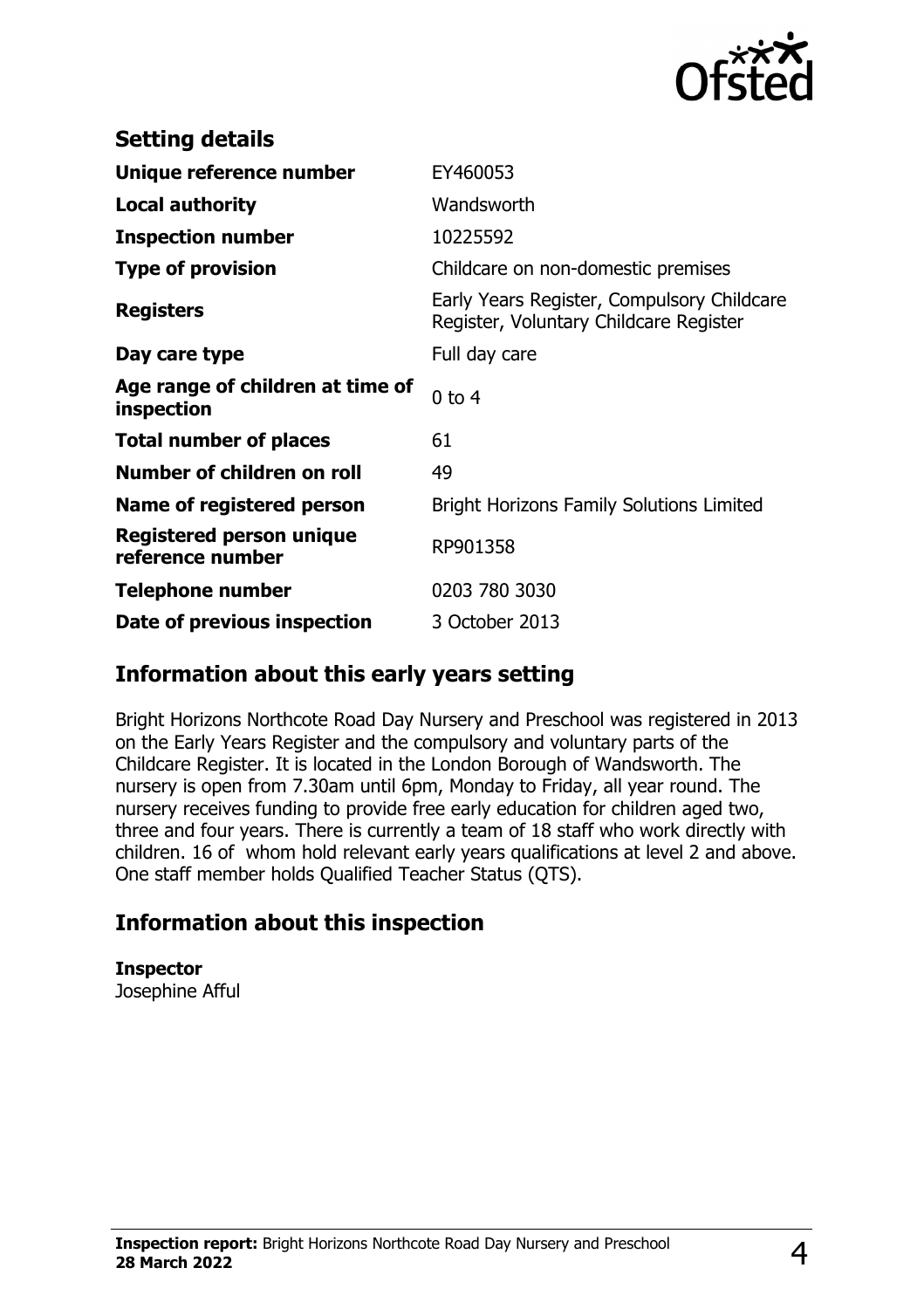

| <b>Setting details</b>                         |                                                                                      |
|------------------------------------------------|--------------------------------------------------------------------------------------|
| Unique reference number                        | EY460053                                                                             |
| <b>Local authority</b>                         | Wandsworth                                                                           |
| <b>Inspection number</b>                       | 10225592                                                                             |
| <b>Type of provision</b>                       | Childcare on non-domestic premises                                                   |
| <b>Registers</b>                               | Early Years Register, Compulsory Childcare<br>Register, Voluntary Childcare Register |
| Day care type                                  | Full day care                                                                        |
| Age range of children at time of<br>inspection | $0$ to $4$                                                                           |
| <b>Total number of places</b>                  | 61                                                                                   |
| Number of children on roll                     | 49                                                                                   |
| Name of registered person                      | <b>Bright Horizons Family Solutions Limited</b>                                      |
| Registered person unique<br>reference number   | RP901358                                                                             |
| <b>Telephone number</b>                        | 0203 780 3030                                                                        |
| Date of previous inspection                    | 3 October 2013                                                                       |

#### **Information about this early years setting**

Bright Horizons Northcote Road Day Nursery and Preschool was registered in 2013 on the Early Years Register and the compulsory and voluntary parts of the Childcare Register. It is located in the London Borough of Wandsworth. The nursery is open from 7.30am until 6pm, Monday to Friday, all year round. The nursery receives funding to provide free early education for children aged two, three and four years. There is currently a team of 18 staff who work directly with children. 16 of whom hold relevant early years qualifications at level 2 and above. One staff member holds Qualified Teacher Status (QTS).

## **Information about this inspection**

**Inspector** Josephine Afful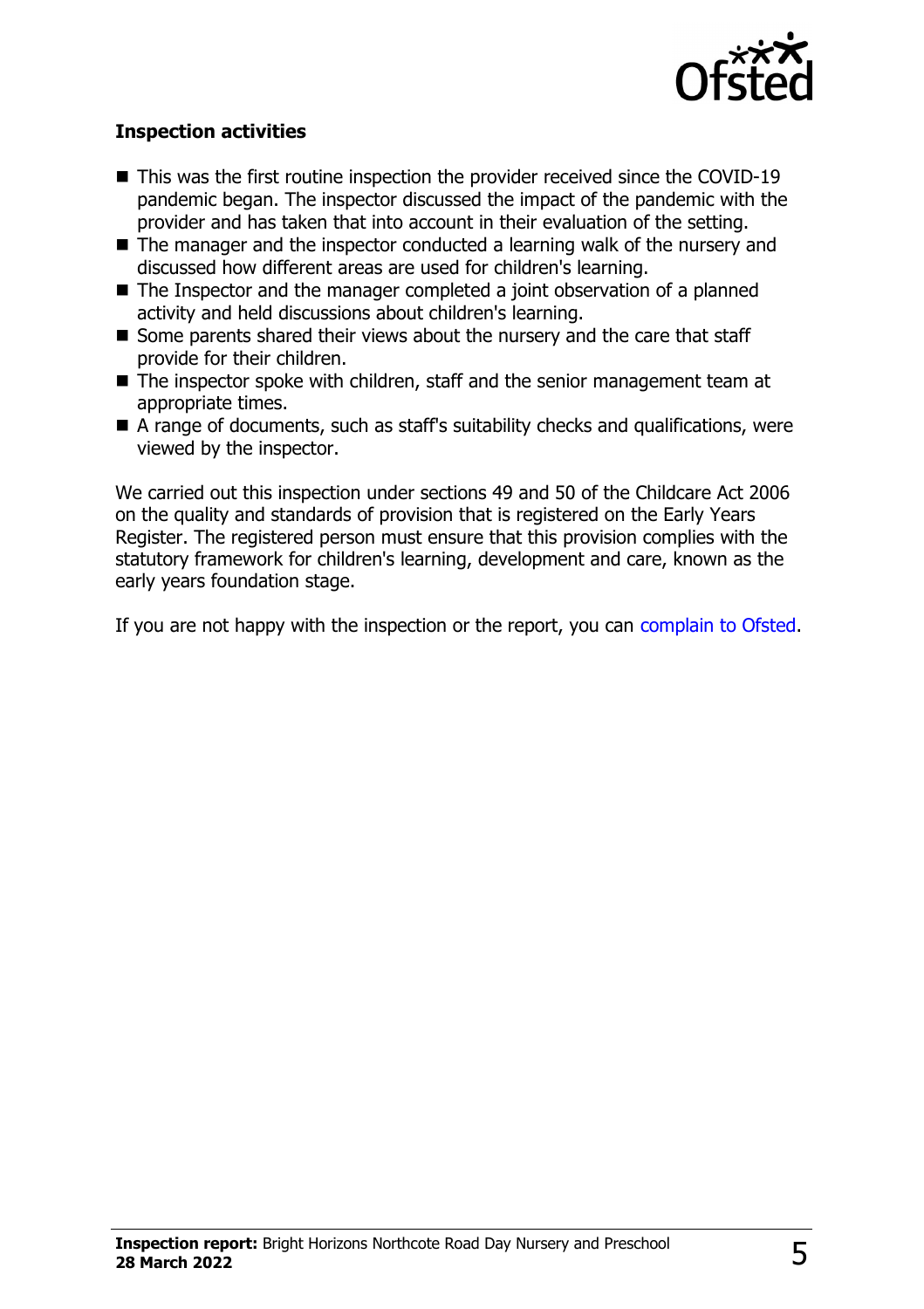

#### **Inspection activities**

- $\blacksquare$  This was the first routine inspection the provider received since the COVID-19 pandemic began. The inspector discussed the impact of the pandemic with the provider and has taken that into account in their evaluation of the setting.
- $\blacksquare$  The manager and the inspector conducted a learning walk of the nursery and discussed how different areas are used for children's learning.
- $\blacksquare$  The Inspector and the manager completed a joint observation of a planned activity and held discussions about children's learning.
- Some parents shared their views about the nursery and the care that staff provide for their children.
- $\blacksquare$  The inspector spoke with children, staff and the senior management team at appropriate times.
- $\blacksquare$  A range of documents, such as staff's suitability checks and qualifications, were viewed by the inspector.

We carried out this inspection under sections 49 and 50 of the Childcare Act 2006 on the quality and standards of provision that is registered on the Early Years Register. The registered person must ensure that this provision complies with the statutory framework for children's learning, development and care, known as the early years foundation stage.

If you are not happy with the inspection or the report, you can [complain to Ofsted](http://www.gov.uk/complain-ofsted-report).